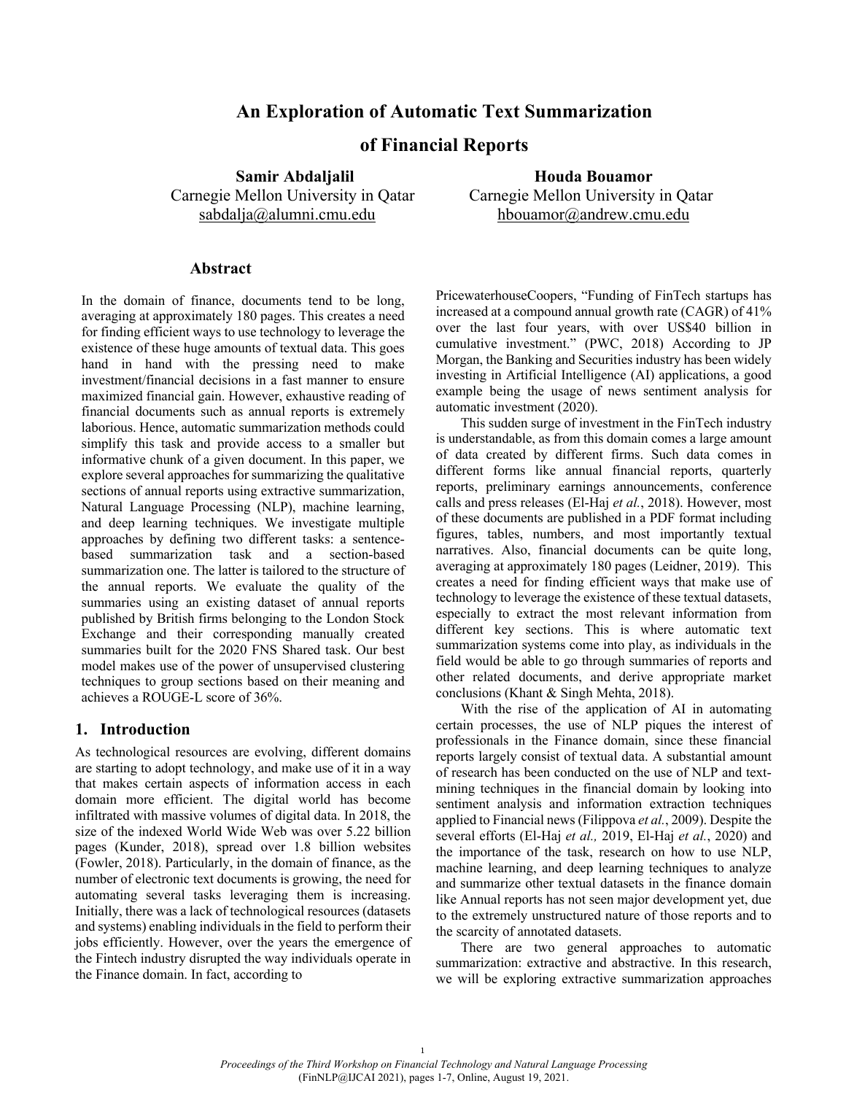# **An Exploration of Automatic Text Summarization**

# **of Financial Reports**

**Samir Abdaljalil Manuel Houda Bouamor** Carnegie Mellon University in Qatar Carnegie Mellon University in Qatar sabdalja@alumni.cmu.edu hbouamor@andrew.cmu.edu

# **Abstract**

In the domain of finance, documents tend to be long, averaging at approximately 180 pages. This creates a need for finding efficient ways to use technology to leverage the existence of these huge amounts of textual data. This goes hand in hand with the pressing need to make investment/financial decisions in a fast manner to ensure maximized financial gain. However, exhaustive reading of financial documents such as annual reports is extremely laborious. Hence, automatic summarization methods could simplify this task and provide access to a smaller but informative chunk of a given document. In this paper, we explore several approaches for summarizing the qualitative sections of annual reports using extractive summarization, Natural Language Processing (NLP), machine learning, and deep learning techniques. We investigate multiple approaches by defining two different tasks: a sentencebased summarization task and a section-based summarization one. The latter is tailored to the structure of the annual reports. We evaluate the quality of the summaries using an existing dataset of annual reports published by British firms belonging to the London Stock Exchange and their corresponding manually created summaries built for the 2020 FNS Shared task. Our best model makes use of the power of unsupervised clustering techniques to group sections based on their meaning and achieves a ROUGE-L score of 36%.

### **1. Introduction**

As technological resources are evolving, different domains are starting to adopt technology, and make use of it in a way that makes certain aspects of information access in each domain more efficient. The digital world has become infiltrated with massive volumes of digital data. In 2018, the size of the indexed World Wide Web was over 5.22 billion pages (Kunder, 2018), spread over 1.8 billion websites (Fowler, 2018). Particularly, in the domain of finance, as the number of electronic text documents is growing, the need for automating several tasks leveraging them is increasing. Initially, there was a lack of technological resources (datasets and systems) enabling individuals in the field to perform their jobs efficiently. However, over the years the emergence of the Fintech industry disrupted the way individuals operate in the Finance domain. In fact, according to

PricewaterhouseCoopers, "Funding of FinTech startups has increased at a compound annual growth rate (CAGR) of 41% over the last four years, with over US\$40 billion in cumulative investment." (PWC, 2018) According to JP Morgan, the Banking and Securities industry has been widely investing in Artificial Intelligence (AI) applications, a good example being the usage of news sentiment analysis for automatic investment (2020).

This sudden surge of investment in the FinTech industry is understandable, as from this domain comes a large amount of data created by different firms. Such data comes in different forms like annual financial reports, quarterly reports, preliminary earnings announcements, conference calls and press releases (El-Haj *et al.*, 2018). However, most of these documents are published in a PDF format including figures, tables, numbers, and most importantly textual narratives. Also, financial documents can be quite long, averaging at approximately 180 pages (Leidner, 2019). This creates a need for finding efficient ways that make use of technology to leverage the existence of these textual datasets, especially to extract the most relevant information from different key sections. This is where automatic text summarization systems come into play, as individuals in the field would be able to go through summaries of reports and other related documents, and derive appropriate market conclusions (Khant & Singh Mehta, 2018).

With the rise of the application of AI in automating certain processes, the use of NLP piques the interest of professionals in the Finance domain, since these financial reports largely consist of textual data. A substantial amount of research has been conducted on the use of NLP and textmining techniques in the financial domain by looking into sentiment analysis and information extraction techniques applied to Financial news (Filippova *et al.*, 2009). Despite the several efforts (El-Haj *et al.,* 2019, El-Haj *et al.*, 2020) and the importance of the task, research on how to use NLP, machine learning, and deep learning techniques to analyze and summarize other textual datasets in the finance domain like Annual reports has not seen major development yet, due to the extremely unstructured nature of those reports and to the scarcity of annotated datasets.

There are two general approaches to automatic summarization: extractive and abstractive. In this research, we will be exploring extractive summarization approaches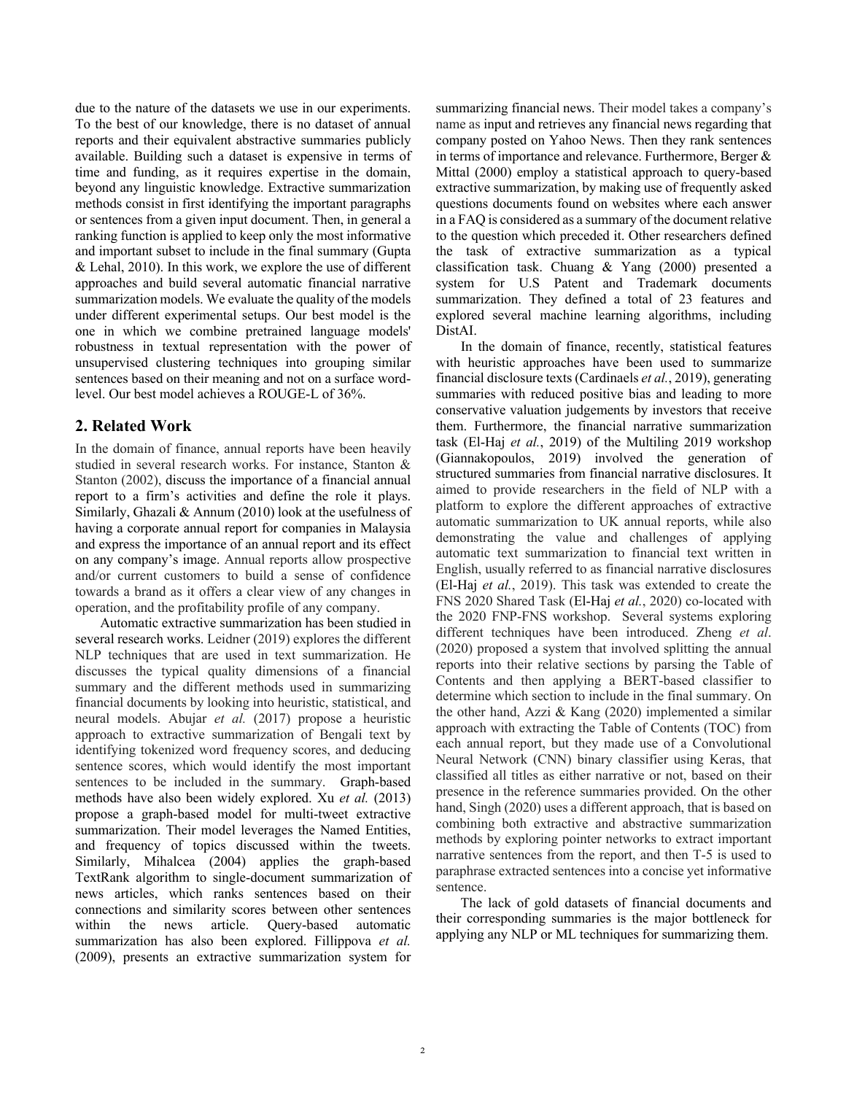due to the nature of the datasets we use in our experiments. To the best of our knowledge, there is no dataset of annual reports and their equivalent abstractive summaries publicly available. Building such a dataset is expensive in terms of time and funding, as it requires expertise in the domain, beyond any linguistic knowledge. Extractive summarization methods consist in first identifying the important paragraphs or sentences from a given input document. Then, in general a ranking function is applied to keep only the most informative and important subset to include in the final summary (Gupta & Lehal, 2010). In this work, we explore the use of different approaches and build several automatic financial narrative summarization models. We evaluate the quality of the models under different experimental setups. Our best model is the one in which we combine pretrained language models' robustness in textual representation with the power of unsupervised clustering techniques into grouping similar sentences based on their meaning and not on a surface wordlevel. Our best model achieves a ROUGE-L of 36%.

# **2. Related Work**

In the domain of finance, annual reports have been heavily studied in several research works. For instance, Stanton & Stanton (2002), discuss the importance of a financial annual report to a firm's activities and define the role it plays. Similarly, Ghazali & Annum (2010) look at the usefulness of having a corporate annual report for companies in Malaysia and express the importance of an annual report and its effect on any company's image. Annual reports allow prospective and/or current customers to build a sense of confidence towards a brand as it offers a clear view of any changes in operation, and the profitability profile of any company.

Automatic extractive summarization has been studied in several research works. Leidner (2019) explores the different NLP techniques that are used in text summarization. He discusses the typical quality dimensions of a financial summary and the different methods used in summarizing financial documents by looking into heuristic, statistical, and neural models. Abujar *et al.* (2017) propose a heuristic approach to extractive summarization of Bengali text by identifying tokenized word frequency scores, and deducing sentence scores, which would identify the most important sentences to be included in the summary. Graph-based methods have also been widely explored. Xu *et al.* (2013) propose a graph-based model for multi-tweet extractive summarization. Their model leverages the Named Entities, and frequency of topics discussed within the tweets. Similarly, Mihalcea (2004) applies the graph-based TextRank algorithm to single-document summarization of news articles, which ranks sentences based on their connections and similarity scores between other sentences within the news article. Query-based automatic summarization has also been explored. Fillippova *et al.*  (2009), presents an extractive summarization system for

summarizing financial news. Their model takes a company's name as input and retrieves any financial news regarding that company posted on Yahoo News. Then they rank sentences in terms of importance and relevance. Furthermore, Berger & Mittal (2000) employ a statistical approach to query-based extractive summarization, by making use of frequently asked questions documents found on websites where each answer in a FAQ is considered as a summary of the document relative to the question which preceded it. Other researchers defined the task of extractive summarization as a typical classification task. Chuang & Yang (2000) presented a system for U.S Patent and Trademark documents summarization. They defined a total of 23 features and explored several machine learning algorithms, including DistAI.

In the domain of finance, recently, statistical features with heuristic approaches have been used to summarize financial disclosure texts (Cardinaels *et al.*, 2019), generating summaries with reduced positive bias and leading to more conservative valuation judgements by investors that receive them. Furthermore, the financial narrative summarization task (El-Haj *et al.*, 2019) of the Multiling 2019 workshop (Giannakopoulos, 2019) involved the generation of structured summaries from financial narrative disclosures. It aimed to provide researchers in the field of NLP with a platform to explore the different approaches of extractive automatic summarization to UK annual reports, while also demonstrating the value and challenges of applying automatic text summarization to financial text written in English, usually referred to as financial narrative disclosures (El-Haj *et al.*, 2019). This task was extended to create the FNS 2020 Shared Task (El-Haj *et al.*, 2020) co-located with the 2020 FNP-FNS workshop. Several systems exploring different techniques have been introduced. Zheng *et al*. (2020) proposed a system that involved splitting the annual reports into their relative sections by parsing the Table of Contents and then applying a BERT-based classifier to determine which section to include in the final summary. On the other hand, Azzi & Kang (2020) implemented a similar approach with extracting the Table of Contents (TOC) from each annual report, but they made use of a Convolutional Neural Network (CNN) binary classifier using Keras, that classified all titles as either narrative or not, based on their presence in the reference summaries provided. On the other hand, Singh (2020) uses a different approach, that is based on combining both extractive and abstractive summarization methods by exploring pointer networks to extract important narrative sentences from the report, and then T-5 is used to paraphrase extracted sentences into a concise yet informative sentence.

The lack of gold datasets of financial documents and their corresponding summaries is the major bottleneck for applying any NLP or ML techniques for summarizing them.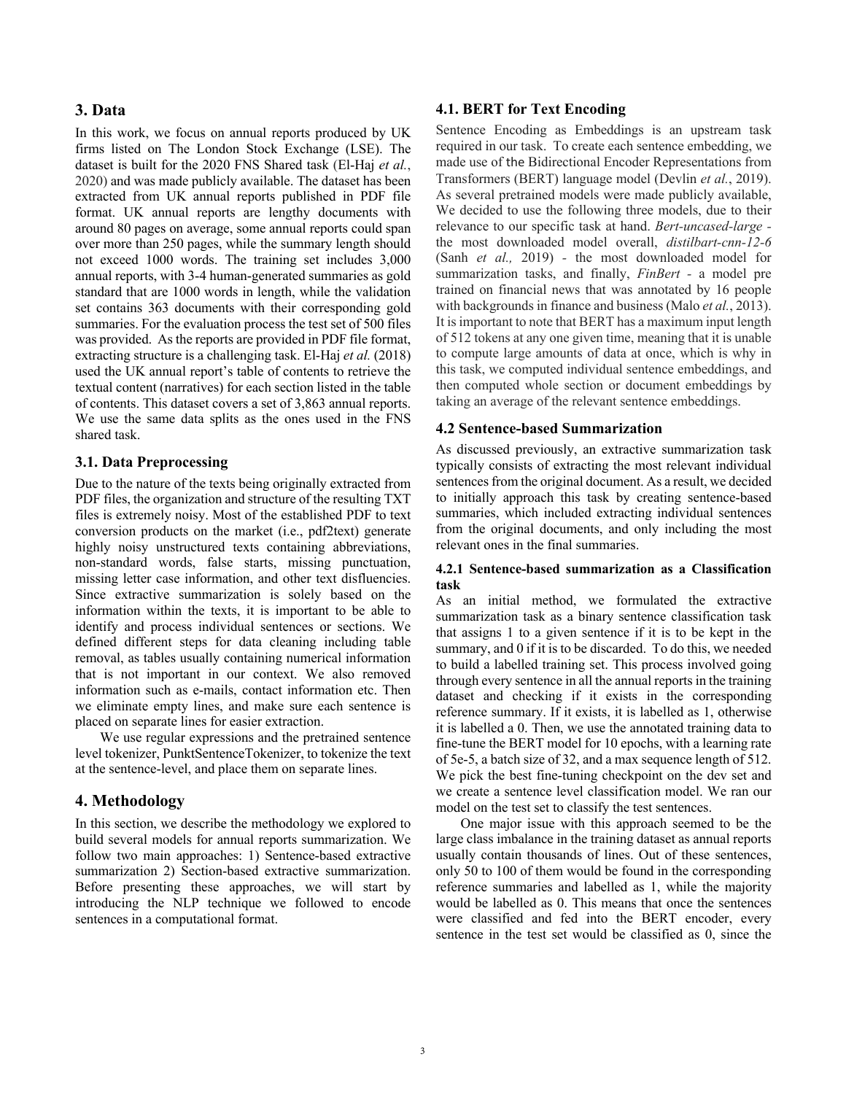# **3. Data**

In this work, we focus on annual reports produced by UK firms listed on The London Stock Exchange (LSE). The dataset is built for the 2020 FNS Shared task (El-Haj *et al.*, 2020) and was made publicly available. The dataset has been extracted from UK annual reports published in PDF file format. UK annual reports are lengthy documents with around 80 pages on average, some annual reports could span over more than 250 pages, while the summary length should not exceed 1000 words. The training set includes 3,000 annual reports, with 3-4 human-generated summaries as gold standard that are 1000 words in length, while the validation set contains 363 documents with their corresponding gold summaries. For the evaluation process the test set of 500 files was provided. As the reports are provided in PDF file format, extracting structure is a challenging task. El-Haj *et al.* (2018) used the UK annual report's table of contents to retrieve the textual content (narratives) for each section listed in the table of contents. This dataset covers a set of 3,863 annual reports. We use the same data splits as the ones used in the FNS shared task.

# **3.1. Data Preprocessing**

Due to the nature of the texts being originally extracted from PDF files, the organization and structure of the resulting TXT files is extremely noisy. Most of the established PDF to text conversion products on the market (i.e., pdf2text) generate highly noisy unstructured texts containing abbreviations, non-standard words, false starts, missing punctuation, missing letter case information, and other text disfluencies. Since extractive summarization is solely based on the information within the texts, it is important to be able to identify and process individual sentences or sections. We defined different steps for data cleaning including table removal, as tables usually containing numerical information that is not important in our context. We also removed information such as e-mails, contact information etc. Then we eliminate empty lines, and make sure each sentence is placed on separate lines for easier extraction.

We use regular expressions and the pretrained sentence level tokenizer, PunktSentenceTokenizer, to tokenize the text at the sentence-level, and place them on separate lines.

### **4. Methodology**

In this section, we describe the methodology we explored to build several models for annual reports summarization. We follow two main approaches: 1) Sentence-based extractive summarization 2) Section-based extractive summarization. Before presenting these approaches, we will start by introducing the NLP technique we followed to encode sentences in a computational format.

### **4.1. BERT for Text Encoding**

Sentence Encoding as Embeddings is an upstream task required in our task. To create each sentence embedding, we made use of the Bidirectional Encoder Representations from Transformers (BERT) language model (Devlin *et al.*, 2019). As several pretrained models were made publicly available, We decided to use the following three models, due to their relevance to our specific task at hand. *Bert-uncased-large*  the most downloaded model overall, *distilbart-cnn-12-6* (Sanh *et al.,* 2019) *-* the most downloaded model for summarization tasks, and finally, *FinBert -* a model pre trained on financial news that was annotated by 16 people with backgrounds in finance and business(Malo *et al.*, 2013). It is important to note that BERT has a maximum input length of 512 tokens at any one given time, meaning that it is unable to compute large amounts of data at once, which is why in this task, we computed individual sentence embeddings, and then computed whole section or document embeddings by taking an average of the relevant sentence embeddings.

### **4.2 Sentence-based Summarization**

As discussed previously, an extractive summarization task typically consists of extracting the most relevant individual sentences from the original document. As a result, we decided to initially approach this task by creating sentence-based summaries, which included extracting individual sentences from the original documents, and only including the most relevant ones in the final summaries.

### **4.2.1 Sentence-based summarization as a Classification task**

As an initial method, we formulated the extractive summarization task as a binary sentence classification task that assigns 1 to a given sentence if it is to be kept in the summary, and 0 if it is to be discarded. To do this, we needed to build a labelled training set. This process involved going through every sentence in all the annual reports in the training dataset and checking if it exists in the corresponding reference summary. If it exists, it is labelled as 1, otherwise it is labelled a 0. Then, we use the annotated training data to fine-tune the BERT model for 10 epochs, with a learning rate of 5e-5, a batch size of 32, and a max sequence length of 512. We pick the best fine-tuning checkpoint on the dev set and we create a sentence level classification model. We ran our model on the test set to classify the test sentences.

One major issue with this approach seemed to be the large class imbalance in the training dataset as annual reports usually contain thousands of lines. Out of these sentences, only 50 to 100 of them would be found in the corresponding reference summaries and labelled as 1, while the majority would be labelled as 0. This means that once the sentences were classified and fed into the BERT encoder, every sentence in the test set would be classified as 0, since the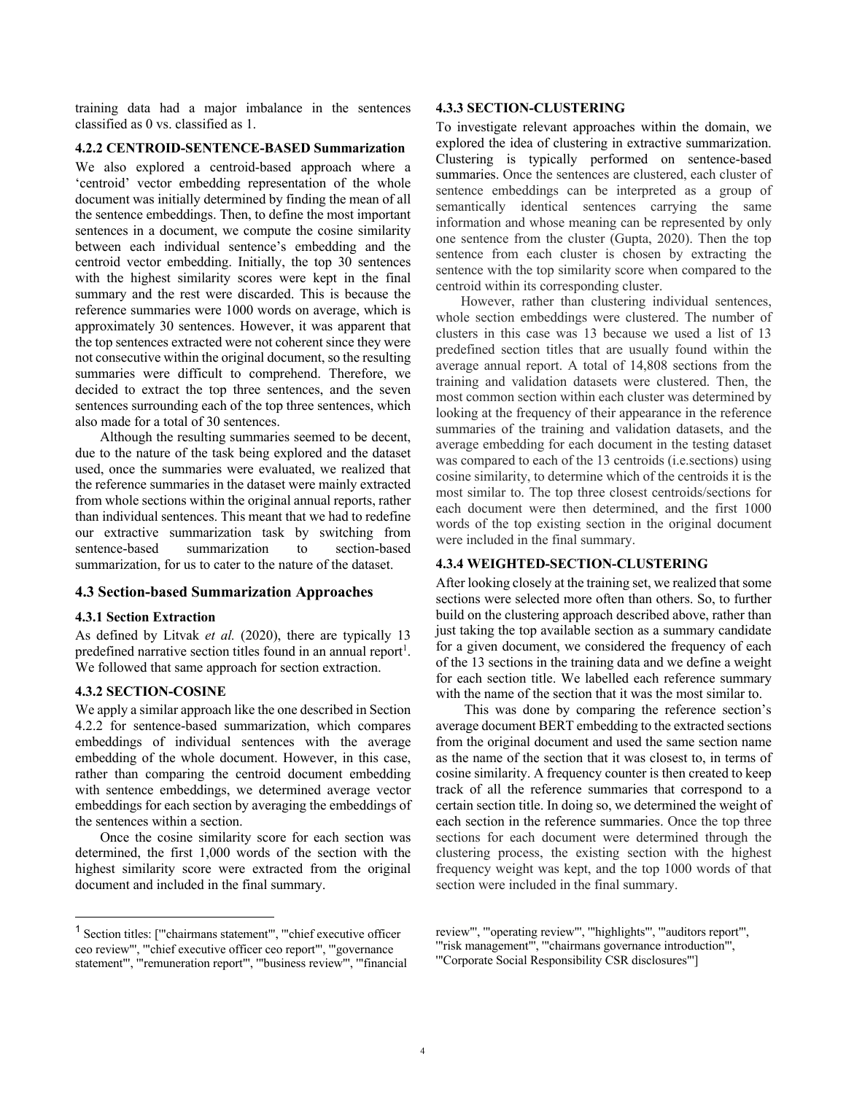training data had a major imbalance in the sentences classified as 0 vs. classified as 1.

#### **4.2.2 CENTROID-SENTENCE-BASED Summarization**

We also explored a centroid-based approach where a 'centroid' vector embedding representation of the whole document was initially determined by finding the mean of all the sentence embeddings. Then, to define the most important sentences in a document, we compute the cosine similarity between each individual sentence's embedding and the centroid vector embedding. Initially, the top 30 sentences with the highest similarity scores were kept in the final summary and the rest were discarded. This is because the reference summaries were 1000 words on average, which is approximately 30 sentences. However, it was apparent that the top sentences extracted were not coherent since they were not consecutive within the original document, so the resulting summaries were difficult to comprehend. Therefore, we decided to extract the top three sentences, and the seven sentences surrounding each of the top three sentences, which also made for a total of 30 sentences.

Although the resulting summaries seemed to be decent, due to the nature of the task being explored and the dataset used, once the summaries were evaluated, we realized that the reference summaries in the dataset were mainly extracted from whole sections within the original annual reports, rather than individual sentences. This meant that we had to redefine our extractive summarization task by switching from sentence-based summarization to section-based summarization, for us to cater to the nature of the dataset.

#### **4.3 Section-based Summarization Approaches**

#### **4.3.1 Section Extraction**

As defined by Litvak *et al.* (2020), there are typically 13 predefined narrative section titles found in an annual report<sup>1</sup>. We followed that same approach for section extraction.

#### **4.3.2 SECTION-COSINE**

We apply a similar approach like the one described in Section 4.2.2 for sentence-based summarization, which compares embeddings of individual sentences with the average embedding of the whole document. However, in this case, rather than comparing the centroid document embedding with sentence embeddings, we determined average vector embeddings for each section by averaging the embeddings of the sentences within a section.

Once the cosine similarity score for each section was determined, the first 1,000 words of the section with the highest similarity score were extracted from the original document and included in the final summary.

#### **4.3.3 SECTION-CLUSTERING**

To investigate relevant approaches within the domain, we explored the idea of clustering in extractive summarization. Clustering is typically performed on sentence-based summaries. Once the sentences are clustered, each cluster of sentence embeddings can be interpreted as a group of semantically identical sentences carrying the same information and whose meaning can be represented by only one sentence from the cluster (Gupta, 2020). Then the top sentence from each cluster is chosen by extracting the sentence with the top similarity score when compared to the centroid within its corresponding cluster.

However, rather than clustering individual sentences, whole section embeddings were clustered. The number of clusters in this case was 13 because we used a list of 13 predefined section titles that are usually found within the average annual report. A total of 14,808 sections from the training and validation datasets were clustered. Then, the most common section within each cluster was determined by looking at the frequency of their appearance in the reference summaries of the training and validation datasets, and the average embedding for each document in the testing dataset was compared to each of the 13 centroids (i.e.sections) using cosine similarity, to determine which of the centroids it is the most similar to. The top three closest centroids/sections for each document were then determined, and the first 1000 words of the top existing section in the original document were included in the final summary.

### **4.3.4 WEIGHTED-SECTION-CLUSTERING**

After looking closely at the training set, we realized that some sections were selected more often than others. So, to further build on the clustering approach described above, rather than just taking the top available section as a summary candidate for a given document, we considered the frequency of each of the 13 sections in the training data and we define a weight for each section title. We labelled each reference summary with the name of the section that it was the most similar to.

This was done by comparing the reference section's average document BERT embedding to the extracted sections from the original document and used the same section name as the name of the section that it was closest to, in terms of cosine similarity. A frequency counter is then created to keep track of all the reference summaries that correspond to a certain section title. In doing so, we determined the weight of each section in the reference summaries. Once the top three sections for each document were determined through the clustering process, the existing section with the highest frequency weight was kept, and the top 1000 words of that section were included in the final summary.

<sup>1</sup> Section titles: ['"chairmans statement"', '"chief executive officer ceo review"', '"chief executive officer ceo report"', '"governance statement"', '"remuneration report"', '"business review"', '"financial

review"', '"operating review"', '"highlights"', '"auditors report"', '"risk management"', '"chairmans governance introduction"',

<sup>&#</sup>x27;"Corporate Social Responsibility CSR disclosures"']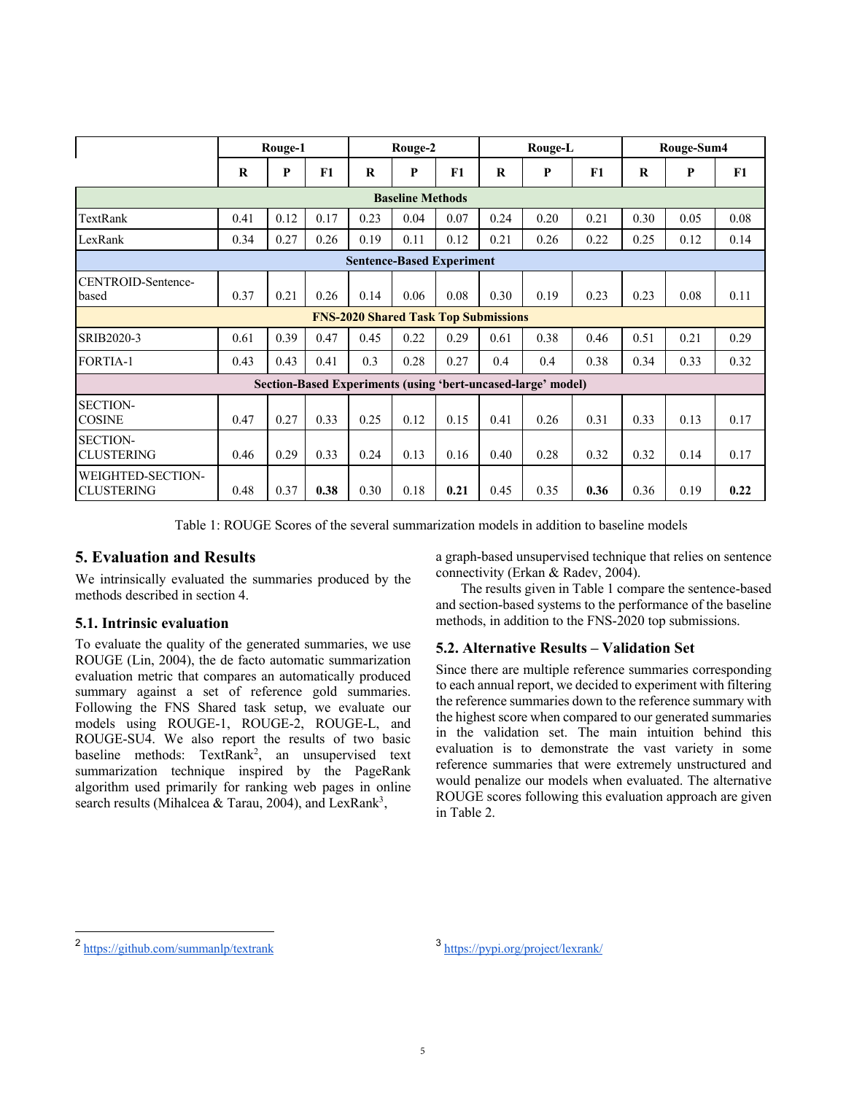|                                                              | Rouge-1 |      |      | Rouge-2 |              |      | Rouge-L |      |      | Rouge-Sum4 |      |      |
|--------------------------------------------------------------|---------|------|------|---------|--------------|------|---------|------|------|------------|------|------|
|                                                              | R       | P    | F1   | R       | $\mathbf{P}$ | F1   | $\bf R$ | P    | F1   | $\bf R$    | P    | F1   |
| <b>Baseline Methods</b>                                      |         |      |      |         |              |      |         |      |      |            |      |      |
| TextRank                                                     | 0.41    | 0.12 | 0.17 | 0.23    | 0.04         | 0.07 | 0.24    | 0.20 | 0.21 | 0.30       | 0.05 | 0.08 |
| LexRank                                                      | 0.34    | 0.27 | 0.26 | 0.19    | 0.11         | 0.12 | 0.21    | 0.26 | 0.22 | 0.25       | 0.12 | 0.14 |
| <b>Sentence-Based Experiment</b>                             |         |      |      |         |              |      |         |      |      |            |      |      |
| CENTROID-Sentence-<br>based                                  | 0.37    | 0.21 | 0.26 | 0.14    | 0.06         | 0.08 | 0.30    | 0.19 | 0.23 | 0.23       | 0.08 | 0.11 |
| <b>FNS-2020 Shared Task Top Submissions</b>                  |         |      |      |         |              |      |         |      |      |            |      |      |
| SRIB2020-3                                                   | 0.61    | 0.39 | 0.47 | 0.45    | 0.22         | 0.29 | 0.61    | 0.38 | 0.46 | 0.51       | 0.21 | 0.29 |
| <b>FORTIA-1</b>                                              | 0.43    | 0.43 | 0.41 | 0.3     | 0.28         | 0.27 | 0.4     | 0.4  | 0.38 | 0.34       | 0.33 | 0.32 |
| Section-Based Experiments (using 'bert-uncased-large' model) |         |      |      |         |              |      |         |      |      |            |      |      |
| <b>SECTION-</b><br><b>COSINE</b>                             | 0.47    | 0.27 | 0.33 | 0.25    | 0.12         | 0.15 | 0.41    | 0.26 | 0.31 | 0.33       | 0.13 | 0.17 |
| <b>SECTION-</b><br><b>CLUSTERING</b>                         | 0.46    | 0.29 | 0.33 | 0.24    | 0.13         | 0.16 | 0.40    | 0.28 | 0.32 | 0.32       | 0.14 | 0.17 |
| WEIGHTED-SECTION-<br><b>CLUSTERING</b>                       | 0.48    | 0.37 | 0.38 | 0.30    | 0.18         | 0.21 | 0.45    | 0.35 | 0.36 | 0.36       | 0.19 | 0.22 |

Table 1: ROUGE Scores of the several summarization models in addition to baseline models

# **5. Evaluation and Results**

We intrinsically evaluated the summaries produced by the methods described in section 4.

### **5.1. Intrinsic evaluation**

To evaluate the quality of the generated summaries, we use ROUGE (Lin, 2004), the de facto automatic summarization evaluation metric that compares an automatically produced summary against a set of reference gold summaries. Following the FNS Shared task setup, we evaluate our models using ROUGE-1, ROUGE-2, ROUGE-L, and ROUGE-SU4. We also report the results of two basic baseline methods:  $TextRank^2$ , an unsupervised text summarization technique inspired by the PageRank algorithm used primarily for ranking web pages in online search results (Mihalcea & Tarau, 2004), and LexRank<sup>3</sup>,

a graph-based unsupervised technique that relies on sentence connectivity (Erkan & Radev, 2004).

The results given in Table 1 compare the sentence-based and section-based systems to the performance of the baseline methods, in addition to the FNS-2020 top submissions.

### **5.2. Alternative Results – Validation Set**

Since there are multiple reference summaries corresponding to each annual report, we decided to experiment with filtering the reference summaries down to the reference summary with the highest score when compared to our generated summaries in the validation set. The main intuition behind this evaluation is to demonstrate the vast variety in some reference summaries that were extremely unstructured and would penalize our models when evaluated. The alternative ROUGE scores following this evaluation approach are given in Table 2.

 $2 \frac{\text{https://github.com/summanlp/textrank}}{3 \frac{\text{https://pypi.org/project/learnk/}}{3 \frac{\text{https://pypi.org/project/learnk/}}{3 \frac{\text{https://pypi.org/project/learnk/}}{3 \frac{\text{https://pypi.org/project/learnk/}}{3 \frac{\text{https://pypi.org/project/learnk/}}{3 \frac{\text{https://pypi.org/project/learnk/}}{3 \frac{\text{https://pypi.org/project/learnk/}}{3 \frac{\text{https://pypi.org/project/learnk/}}{3 \frac{\text{https://pypi.org/project/learnk/}}{3 \frac{\text{https://pypi.org/project/learnk/}}{3 \frac{\text{https://pypi.org$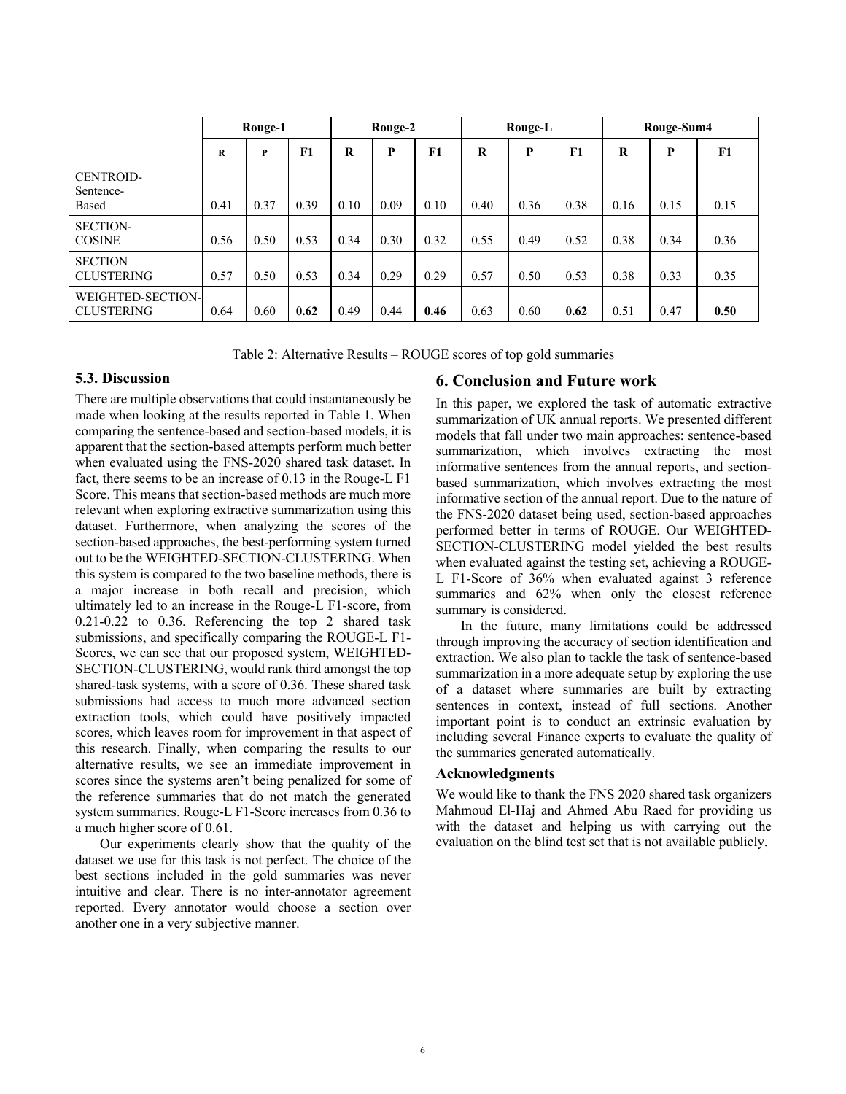|                                        | Rouge-1 |      |      | Rouge-2 |      |      | Rouge-L |      |      | Rouge-Sum4 |      |      |
|----------------------------------------|---------|------|------|---------|------|------|---------|------|------|------------|------|------|
|                                        | R       | P    | F1   | R       | P    | F1   | $\bf R$ | P    | F1   | R          | P    | F1   |
| <b>CENTROID-</b><br>Sentence-<br>Based | 0.41    | 0.37 | 0.39 | 0.10    | 0.09 | 0.10 | 0.40    | 0.36 | 0.38 | 0.16       | 0.15 | 0.15 |
| <b>SECTION-</b><br><b>COSINE</b>       | 0.56    | 0.50 | 0.53 | 0.34    | 0.30 | 0.32 | 0.55    | 0.49 | 0.52 | 0.38       | 0.34 | 0.36 |
| <b>SECTION</b><br><b>CLUSTERING</b>    | 0.57    | 0.50 | 0.53 | 0.34    | 0.29 | 0.29 | 0.57    | 0.50 | 0.53 | 0.38       | 0.33 | 0.35 |
| WEIGHTED-SECTION-<br><b>CLUSTERING</b> | 0.64    | 0.60 | 0.62 | 0.49    | 0.44 | 0.46 | 0.63    | 0.60 | 0.62 | 0.51       | 0.47 | 0.50 |

Table 2: Alternative Results – ROUGE scores of top gold summaries

### **5.3. Discussion**

There are multiple observations that could instantaneously be made when looking at the results reported in Table 1. When comparing the sentence-based and section-based models, it is apparent that the section-based attempts perform much better when evaluated using the FNS-2020 shared task dataset. In fact, there seems to be an increase of 0.13 in the Rouge-L F1 Score. This means that section-based methods are much more relevant when exploring extractive summarization using this dataset. Furthermore, when analyzing the scores of the section-based approaches, the best-performing system turned out to be the WEIGHTED-SECTION-CLUSTERING. When this system is compared to the two baseline methods, there is a major increase in both recall and precision, which ultimately led to an increase in the Rouge-L F1-score, from 0.21-0.22 to 0.36. Referencing the top 2 shared task submissions, and specifically comparing the ROUGE-L F1- Scores, we can see that our proposed system, WEIGHTED-SECTION-CLUSTERING, would rank third amongst the top shared-task systems, with a score of 0.36. These shared task submissions had access to much more advanced section extraction tools, which could have positively impacted scores, which leaves room for improvement in that aspect of this research. Finally, when comparing the results to our alternative results, we see an immediate improvement in scores since the systems aren't being penalized for some of the reference summaries that do not match the generated system summaries. Rouge-L F1-Score increases from 0.36 to a much higher score of 0.61.

Our experiments clearly show that the quality of the dataset we use for this task is not perfect. The choice of the best sections included in the gold summaries was never intuitive and clear. There is no inter-annotator agreement reported. Every annotator would choose a section over another one in a very subjective manner.

### **6. Conclusion and Future work**

In this paper, we explored the task of automatic extractive summarization of UK annual reports. We presented different models that fall under two main approaches: sentence-based summarization, which involves extracting the most informative sentences from the annual reports, and sectionbased summarization, which involves extracting the most informative section of the annual report. Due to the nature of the FNS-2020 dataset being used, section-based approaches performed better in terms of ROUGE. Our WEIGHTED-SECTION-CLUSTERING model yielded the best results when evaluated against the testing set, achieving a ROUGE-L F1-Score of 36% when evaluated against 3 reference summaries and 62% when only the closest reference summary is considered.

In the future, many limitations could be addressed through improving the accuracy of section identification and extraction. We also plan to tackle the task of sentence-based summarization in a more adequate setup by exploring the use of a dataset where summaries are built by extracting sentences in context, instead of full sections. Another important point is to conduct an extrinsic evaluation by including several Finance experts to evaluate the quality of the summaries generated automatically.

### **Acknowledgments**

We would like to thank the FNS 2020 shared task organizers Mahmoud El-Haj and Ahmed Abu Raed for providing us with the dataset and helping us with carrying out the evaluation on the blind test set that is not available publicly.